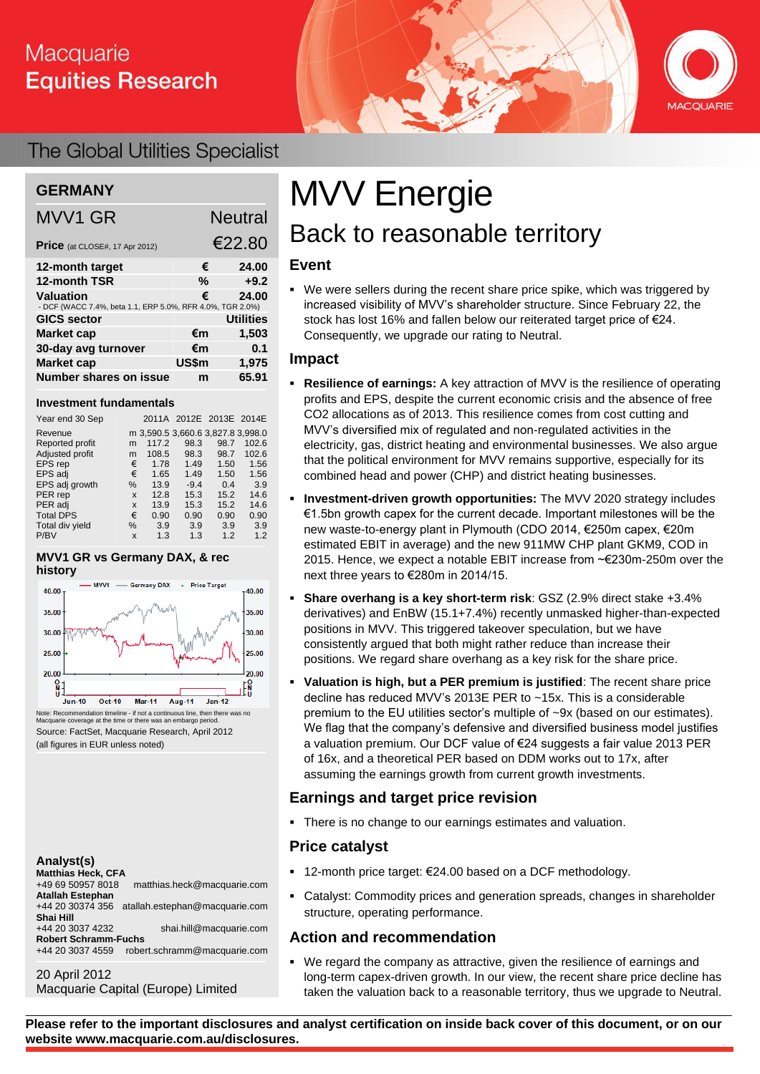# Macquarie **Equities Research**



## The Global Utilities Specialist

### **GERMANY**

| <b>MVV1 GR</b>                                                         |       | <b>Neutral</b>   |
|------------------------------------------------------------------------|-------|------------------|
| Price (at CLOSE#, 17 Apr 2012)                                         |       | €22.80           |
| 12-month target                                                        | €     | 24.00            |
| 12-month TSR                                                           | %     | $+9.2$           |
| Valuation<br>- DCF (WACC 7.4%, beta 1.1, ERP 5.0%, RFR 4.0%, TGR 2.0%) | €     | 24.00            |
| <b>GICS sector</b>                                                     |       | <b>Utilities</b> |
| <b>Market cap</b>                                                      | €m    | 1,503            |
| 30-day avg turnover                                                    | €m    | 0.1              |
| <b>Market cap</b>                                                      | US\$m | 1,975            |
| <b>Number shares on issue</b>                                          | m     | 65.91            |

#### **Investment fundamentals**

| Year end 30 Sep  |      |                                   | 2011A 2012E 2013E 2014E |      |       |
|------------------|------|-----------------------------------|-------------------------|------|-------|
| Revenue          |      | m 3,590.5 3,660.6 3,827.8 3,998.0 |                         |      |       |
| Reported profit  | m    | 117.2                             | 98.3                    | 98.7 | 102.6 |
| Adjusted profit  | m    | 108.5                             | 98.3                    | 98.7 | 102.6 |
| EPS rep          | €    | 1.78                              | 1.49                    | 1.50 | 1.56  |
| EPS adj          | €    | 1.65                              | 1.49                    | 1.50 | 1.56  |
| EPS adj growth   | $\%$ | 13.9                              | $-9.4$                  | 0.4  | 3.9   |
| PER rep          | X    | 12.8                              | 15.3                    | 15.2 | 14.6  |
| PER adj          | X    | 13.9                              | 15.3                    | 15.2 | 14.6  |
| <b>Total DPS</b> | €    | 0.90                              | 0.90                    | 0.90 | 0.90  |
| Total div yield  | $\%$ | 3.9                               | 3.9                     | 3.9  | 3.9   |
| P/BV             | X    | 1.3                               | 1.3                     | 1.2  | 1.2   |

#### **MVV1 GR vs Germany DAX, & rec history**



Note: Recommendation timeline - if not a continuous line, then there was no Macquarie coverage at the time or there was an embargo period. Source: FactSet, Macquarie Research, April 2012 (all figures in EUR unless noted)

#### **Analyst(s)**

| <b>Matthias Heck, CFA</b>   |                                |
|-----------------------------|--------------------------------|
| +49 69 50957 8018           | matthias.heck@macquarie.com    |
| <b>Atallah Estephan</b>     |                                |
| +44 20 30374 356            | atallah.estephan@macquarie.com |
| Shai Hill                   |                                |
| +44 20 3037 4232            | shai.hill@macquarie.com        |
| <b>Robert Schramm-Fuchs</b> |                                |
| +44 20 3037 4559            | robert.schramm@macquarie.com   |
|                             |                                |

#### 20 April 2012 Macquarie Capital (Europe) Limited

# MVV Energie Back to reasonable territory

#### **Event**

 We were sellers during the recent share price spike, which was triggered by increased visibility of MVV's shareholder structure. Since February 22, the stock has lost 16% and fallen below our reiterated target price of €24. Consequently, we upgrade our rating to Neutral.

#### **Impact**

- **Resilience of earnings:** A key attraction of MVV is the resilience of operating profits and EPS, despite the current economic crisis and the absence of free CO2 allocations as of 2013. This resilience comes from cost cutting and MVV's diversified mix of regulated and non-regulated activities in the electricity, gas, district heating and environmental businesses. We also argue that the political environment for MVV remains supportive, especially for its combined head and power (CHP) and district heating businesses.
- **Investment-driven growth opportunities:** The MVV 2020 strategy includes €1.5bn growth capex for the current decade. Important milestones will be the new waste-to-energy plant in Plymouth (CDO 2014, €250m capex, €20m estimated EBIT in average) and the new 911MW CHP plant GKM9, COD in 2015. Hence, we expect a notable EBIT increase from ~€230m-250m over the next three years to €280m in 2014/15.
- **Share overhang is a key short-term risk**: GSZ (2.9% direct stake +3.4% derivatives) and EnBW (15.1+7.4%) recently unmasked higher-than-expected positions in MVV. This triggered takeover speculation, but we have consistently argued that both might rather reduce than increase their positions. We regard share overhang as a key risk for the share price.
- **Valuation is high, but a PER premium is justified**: The recent share price decline has reduced MVV's 2013E PER to ~15x. This is a considerable premium to the EU utilities sector's multiple of ~9x (based on our estimates). We flag that the company's defensive and diversified business model justifies a valuation premium. Our DCF value of €24 suggests a fair value 2013 PER of 16x, and a theoretical PER based on DDM works out to 17x, after assuming the earnings growth from current growth investments.

#### **Earnings and target price revision**

There is no change to our earnings estimates and valuation.

#### **Price catalyst**

- 12-month price target: €24.00 based on a DCF methodology.
- Catalyst: Commodity prices and generation spreads, changes in shareholder structure, operating performance.

#### **Action and recommendation**

 We regard the company as attractive, given the resilience of earnings and long-term capex-driven growth. In our view, the recent share price decline has taken the valuation back to a reasonable territory, thus we upgrade to Neutral.

**Please refer to the important disclosures and analyst certification on inside back cover of this document, or on our website www.macquarie.com.au/disclosures.**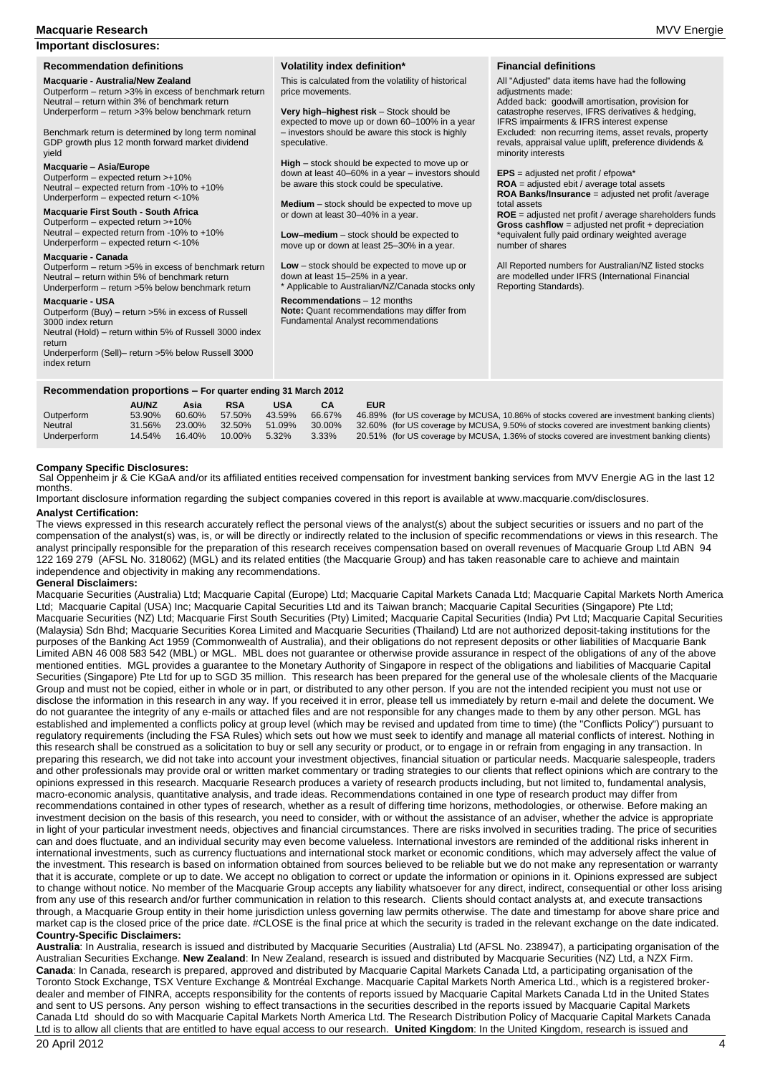#### **Macquarie Research** MVV Energie

#### **Important disclosures:**

**Macquarie - Australia/New Zealand** Outperform – return >3% in excess of benchmark return Neutral – return within 3% of benchmark return Underperform – return >3% below benchmark return

Benchmark return is determined by long term nominal GDP growth plus 12 month forward market dividend yield

#### **Macquarie – Asia/Europe**

Outperform – expected return >+10% Neutral – expected return from -10% to +10% Underperform – expected return <-10%

#### **Macquarie First South - South Africa**

Outperform – expected return >+10% Neutral – expected return from -10% to +10% Underperform – expected return <-10%

#### **Macquarie - Canada**

Outperform – return >5% in excess of benchmark return Neutral – return within 5% of benchmark return Underperform – return >5% below benchmark return

#### **Macquarie - USA**

Outperform (Buy) – return >5% in excess of Russell 3000 index return Neutral (Hold) – return within 5% of Russell 3000 index return

Underperform (Sell)– return >5% below Russell 3000 index return

#### **Volatility index definition\***

This is calculated from the volatility of historical price movements.

**Very high–highest risk** – Stock should be expected to move up or down 60–100% in a year – investors should be aware this stock is highly speculative.

**High** – stock should be expected to move up or down at least 40–60% in a year – investors should be aware this stock could be speculative.

**Medium** – stock should be expected to move up or down at least 30–40% in a year.

**Low–medium** – stock should be expected to move up or down at least 25–30% in a year.

**Low** – stock should be expected to move up or down at least 15–25% in a year. \* Applicable to Australian/NZ/Canada stocks only

**Recommendations** – 12 months **Note:** Quant recommendations may differ from Fundamental Analyst recommendations

**Financial definitions**

All "Adjusted" data items have had the following

adjustments made: Added back: goodwill amortisation, provision for catastrophe reserves, IFRS derivatives & hedging, IFRS impairments & IFRS interest expense Excluded: non recurring items, asset revals, property revals, appraisal value uplift, preference dividends & minority interests

**EPS** = adjusted net profit / efpowa\*

number of shares

**ROA** = adjusted ebit / average total assets **ROA Banks/Insurance** = adjusted net profit /average total assets **ROE** = adjusted net profit / average shareholders funds **Gross cashflow** = adjusted net profit + depreciation \*equivalent fully paid ordinary weighted average

All Reported numbers for Australian/NZ listed stocks are modelled under IFRS (International Financial Reporting Standards).

#### **Recommendation proportions – For quarter ending 31 March 2012**

|              | <b>AU/NZ</b> | Asia   | <b>RSA</b> | <b>USA</b> | СA     | EUR |                                                                                            |
|--------------|--------------|--------|------------|------------|--------|-----|--------------------------------------------------------------------------------------------|
| Outperform   | 53.90%       | 60.60% | 57.50%     | 43.59%     | 66.67% |     | 46.89% (for US coverage by MCUSA, 10.86% of stocks covered are investment banking clients) |
| Neutral      | 31.56%       | 23.00% | 32.50%     | 51.09%     | 30.00% |     | 32.60% (for US coverage by MCUSA, 9.50% of stocks covered are investment banking clients)  |
| Underperform | 14.54%       | 16.40% | 10.00%     | $5.32\%$   | 3.33%  |     | 20.51% (for US coverage by MCUSA, 1.36% of stocks covered are investment banking clients)  |
|              |              |        |            |            |        |     |                                                                                            |

#### **Company Specific Disclosures:**

Sal Oppenheim jr & Cie KGaA and/or its affiliated entities received compensation for investment banking services from MVV Energie AG in the last 12 months.

Important disclosure information regarding the subject companies covered in this report is available at www.macquarie.com/disclosures.

#### **Analyst Certification:**

The views expressed in this research accurately reflect the personal views of the analyst(s) about the subject securities or issuers and no part of the compensation of the analyst(s) was, is, or will be directly or indirectly related to the inclusion of specific recommendations or views in this research. The analyst principally responsible for the preparation of this research receives compensation based on overall revenues of Macquarie Group Ltd ABN 94 122 169 279 (AFSL No. 318062) (MGL) and its related entities (the Macquarie Group) and has taken reasonable care to achieve and maintain independence and objectivity in making any recommendations.

#### **General Disclaimers:**

Macquarie Securities (Australia) Ltd; Macquarie Capital (Europe) Ltd; Macquarie Capital Markets Canada Ltd; Macquarie Capital Markets North America Ltd; Macquarie Capital (USA) Inc; Macquarie Capital Securities Ltd and its Taiwan branch; Macquarie Capital Securities (Singapore) Pte Ltd; Macquarie Securities (NZ) Ltd; Macquarie First South Securities (Pty) Limited; Macquarie Capital Securities (India) Pvt Ltd; Macquarie Capital Securities (Malaysia) Sdn Bhd; Macquarie Securities Korea Limited and Macquarie Securities (Thailand) Ltd are not authorized deposit-taking institutions for the purposes of the Banking Act 1959 (Commonwealth of Australia), and their obligations do not represent deposits or other liabilities of Macquarie Bank Limited ABN 46 008 583 542 (MBL) or MGL. MBL does not guarantee or otherwise provide assurance in respect of the obligations of any of the above mentioned entities. MGL provides a guarantee to the Monetary Authority of Singapore in respect of the obligations and liabilities of Macquarie Capital Securities (Singapore) Pte Ltd for up to SGD 35 million. This research has been prepared for the general use of the wholesale clients of the Macquarie Group and must not be copied, either in whole or in part, or distributed to any other person. If you are not the intended recipient you must not use or disclose the information in this research in any way. If you received it in error, please tell us immediately by return e-mail and delete the document. We do not guarantee the integrity of any e-mails or attached files and are not responsible for any changes made to them by any other person. MGL has established and implemented a conflicts policy at group level (which may be revised and updated from time to time) (the "Conflicts Policy") pursuant to regulatory requirements (including the FSA Rules) which sets out how we must seek to identify and manage all material conflicts of interest. Nothing in this research shall be construed as a solicitation to buy or sell any security or product, or to engage in or refrain from engaging in any transaction. In preparing this research, we did not take into account your investment objectives, financial situation or particular needs. Macquarie salespeople, traders and other professionals may provide oral or written market commentary or trading strategies to our clients that reflect opinions which are contrary to the opinions expressed in this research. Macquarie Research produces a variety of research products including, but not limited to, fundamental analysis, macro-economic analysis, quantitative analysis, and trade ideas. Recommendations contained in one type of research product may differ from recommendations contained in other types of research, whether as a result of differing time horizons, methodologies, or otherwise. Before making an investment decision on the basis of this research, you need to consider, with or without the assistance of an adviser, whether the advice is appropriate in light of your particular investment needs, objectives and financial circumstances. There are risks involved in securities trading. The price of securities can and does fluctuate, and an individual security may even become valueless. International investors are reminded of the additional risks inherent in international investments, such as currency fluctuations and international stock market or economic conditions, which may adversely affect the value of the investment. This research is based on information obtained from sources believed to be reliable but we do not make any representation or warranty that it is accurate, complete or up to date. We accept no obligation to correct or update the information or opinions in it. Opinions expressed are subject to change without notice. No member of the Macquarie Group accepts any liability whatsoever for any direct, indirect, consequential or other loss arising from any use of this research and/or further communication in relation to this research. Clients should contact analysts at, and execute transactions through, a Macquarie Group entity in their home jurisdiction unless governing law permits otherwise. The date and timestamp for above share price and market cap is the closed price of the price date. #CLOSE is the final price at which the security is traded in the relevant exchange on the date indicated. **Country-Specific Disclaimers:** 

**Australia**: In Australia, research is issued and distributed by Macquarie Securities (Australia) Ltd (AFSL No. 238947), a participating organisation of the Australian Securities Exchange. **New Zealand**: In New Zealand, research is issued and distributed by Macquarie Securities (NZ) Ltd, a NZX Firm. **Canada**: In Canada, research is prepared, approved and distributed by Macquarie Capital Markets Canada Ltd, a participating organisation of the Toronto Stock Exchange, TSX Venture Exchange & Montréal Exchange. Macquarie Capital Markets North America Ltd., which is a registered brokerdealer and member of FINRA, accepts responsibility for the contents of reports issued by Macquarie Capital Markets Canada Ltd in the United States and sent to US persons. Any person wishing to effect transactions in the securities described in the reports issued by Macquarie Capital Markets Canada Ltd should do so with Macquarie Capital Markets North America Ltd. The Research Distribution Policy of Macquarie Capital Markets Canada Ltd is to allow all clients that are entitled to have equal access to our research. **United Kingdom**: In the United Kingdom, research is issued and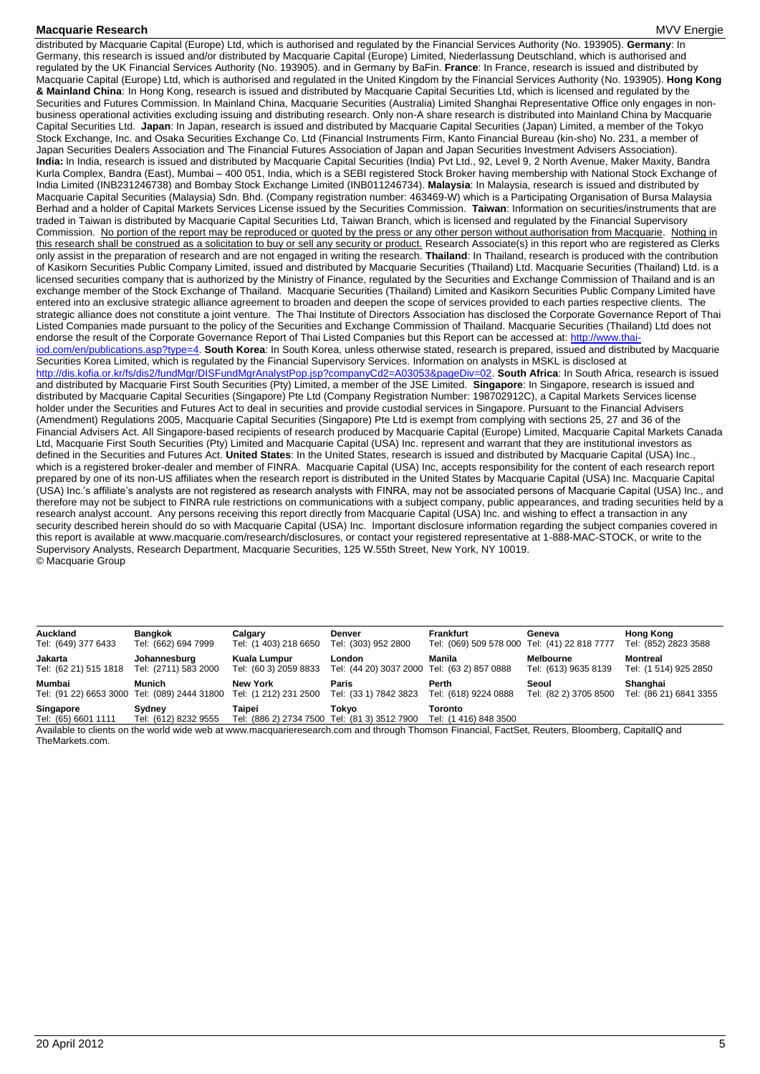**Macquarie Research Energie According to the Contract of the Contract of the Contract of the MVV Energie According to the MVV Energie According to the MVV Energie** distributed by Macquarie Capital (Europe) Ltd, which is authorised and regulated by the Financial Services Authority (No. 193905). **Germany**: In Germany, this research is issued and/or distributed by Macquarie Capital (Europe) Limited, Niederlassung Deutschland, which is authorised and regulated by the UK Financial Services Authority (No. 193905). and in Germany by BaFin. **France**: In France, research is issued and distributed by Macquarie Capital (Europe) Ltd, which is authorised and regulated in the United Kingdom by the Financial Services Authority (No. 193905). **Hong Kong & Mainland China**: In Hong Kong, research is issued and distributed by Macquarie Capital Securities Ltd, which is licensed and regulated by the Securities and Futures Commission. In Mainland China, Macquarie Securities (Australia) Limited Shanghai Representative Office only engages in nonbusiness operational activities excluding issuing and distributing research. Only non-A share research is distributed into Mainland China by Macquarie Capital Securities Ltd. **Japan**: In Japan, research is issued and distributed by Macquarie Capital Securities (Japan) Limited, a member of the Tokyo Stock Exchange, Inc. and Osaka Securities Exchange Co. Ltd (Financial Instruments Firm, Kanto Financial Bureau (kin-sho) No. 231, a member of Japan Securities Dealers Association and The Financial Futures Association of Japan and Japan Securities Investment Advisers Association). **India:** In India, research is issued and distributed by Macquarie Capital Securities (India) Pvt Ltd., 92, Level 9, 2 North Avenue, Maker Maxity, Bandra Kurla Complex, Bandra (East), Mumbai – 400 051, India, which is a SEBI registered Stock Broker having membership with National Stock Exchange of India Limited (INB231246738) and Bombay Stock Exchange Limited (INB011246734). **Malaysia**: In Malaysia, research is issued and distributed by Macquarie Capital Securities (Malaysia) Sdn. Bhd. (Company registration number: 463469-W) which is a Participating Organisation of Bursa Malaysia Berhad and a holder of Capital Markets Services License issued by the Securities Commission. **Taiwan**: Information on securities/instruments that are traded in Taiwan is distributed by Macquarie Capital Securities Ltd, Taiwan Branch, which is licensed and regulated by the Financial Supervisory Commission. No portion of the report may be reproduced or quoted by the press or any other person without authorisation from Macquarie. Nothing in this research shall be construed as a solicitation to buy or sell any security or product. Research Associate(s) in this report who are registered as Clerks only assist in the preparation of research and are not engaged in writing the research. **Thailand**: In Thailand, research is produced with the contribution of Kasikorn Securities Public Company Limited, issued and distributed by Macquarie Securities (Thailand) Ltd. Macquarie Securities (Thailand) Ltd. is a licensed securities company that is authorized by the Ministry of Finance, regulated by the Securities and Exchange Commission of Thailand and is an exchange member of the Stock Exchange of Thailand. Macquarie Securities (Thailand) Limited and Kasikorn Securities Public Company Limited have entered into an exclusive strategic alliance agreement to broaden and deepen the scope of services provided to each parties respective clients. The strategic alliance does not constitute a joint venture. The Thai Institute of Directors Association has disclosed the Corporate Governance Report of Thai Listed Companies made pursuant to the policy of the Securities and Exchange Commission of Thailand. Macquarie Securities (Thailand) Ltd does not endorse the result of the Corporate Governance Report of Thai Listed Companies but this Report can be accessed at: http://www.thaiiod.com/en/publications.asp?type=4. **South Korea**: In South Korea, unless otherwise stated, research is prepared, issued and distributed by Macquarie Securities Korea Limited, which is regulated by the Financial Supervisory Services. Information on analysts in MSKL is disclosed at http://dis.kofia.or.kr/fs/dis2/fundMgr/DISFundMgrAnalystPop.jsp?companyCd2=A03053&pageDiv=02. **South Africa**: In South Africa, research is issued and distributed by Macquarie First South Securities (Pty) Limited, a member of the JSE Limited. **Singapore**: In Singapore, research is issued and distributed by Macquarie Capital Securities (Singapore) Pte Ltd (Company Registration Number: 198702912C), a Capital Markets Services license holder under the Securities and Futures Act to deal in securities and provide custodial services in Singapore. Pursuant to the Financial Advisers (Amendment) Regulations 2005, Macquarie Capital Securities (Singapore) Pte Ltd is exempt from complying with sections 25, 27 and 36 of the Financial Advisers Act. All Singapore-based recipients of research produced by Macquarie Capital (Europe) Limited, Macquarie Capital Markets Canada Ltd, Macquarie First South Securities (Pty) Limited and Macquarie Capital (USA) Inc. represent and warrant that they are institutional investors as defined in the Securities and Futures Act. **United States**: In the United States, research is issued and distributed by Macquarie Capital (USA) Inc., which is a registered broker-dealer and member of FINRA. Macquarie Capital (USA) Inc, accepts responsibility for the content of each research report prepared by one of its non-US affiliates when the research report is distributed in the United States by Macquarie Capital (USA) Inc. Macquarie Capital (USA) Inc.'s affiliate's analysts are not registered as research analysts with FINRA, may not be associated persons of Macquarie Capital (USA) Inc., and therefore may not be subject to FINRA rule restrictions on communications with a subject company, public appearances, and trading securities held by a research analyst account. Any persons receiving this report directly from Macquarie Capital (USA) Inc. and wishing to effect a transaction in any security described herein should do so with Macquarie Capital (USA) Inc. Important disclosure information regarding the subject companies covered in this report is available at www.macquarie.com/research/disclosures, or contact your registered representative at 1-888-MAC-STOCK, or write to the Supervisory Analysts, Research Department, Macquarie Securities, 125 W.55th Street, New York, NY 10019. © Macquarie Group

| Auckland<br>Tel: (649) 377 6433  | <b>Bangkok</b><br>Tel: (662) 694 7999                  | Calgary<br>Tel: (1 403) 218 6650                       | <b>Denver</b><br>Tel: (303) 952 2800                                                                                                            | Frankfurt<br>Tel: (069) 509 578 000 Tel: (41) 22 818 7777 | Geneva                            | <b>Hong Kong</b><br>Tel: (852) 2823 3588 |
|----------------------------------|--------------------------------------------------------|--------------------------------------------------------|-------------------------------------------------------------------------------------------------------------------------------------------------|-----------------------------------------------------------|-----------------------------------|------------------------------------------|
|                                  |                                                        |                                                        |                                                                                                                                                 |                                                           |                                   |                                          |
| Jakarta<br>Tel: (62 21) 515 1818 | Johannesburg<br>Tel: (2711) 583 2000                   | Kuala Lumpur<br>Tel: (60 3) 2059 8833                  | London<br>Tel: (44 20) 3037 2000 Tel: (63 2) 857 0888                                                                                           | Manila                                                    | Melbourne<br>Tel: (613) 9635 8139 | <b>Montreal</b><br>Tel: (1 514) 925 2850 |
| Mumbai                           | Munich<br>Tel: (91 22) 6653 3000 Tel: (089) 2444 31800 | <b>New York</b><br>Tel: (1 212) 231 2500               | Paris<br>Tel: (33 1) 7842 3823                                                                                                                  | Perth<br>Tel: (618) 9224 0888                             | Seoul<br>Tel: (82 2) 3705 8500    | Shanghai<br>Tel: (86 21) 6841 3355       |
| Singapore<br>Tel: (65) 6601 1111 | Sydney<br>Tel: (612) 8232 9555                         | Taipei<br>Tel: (886 2) 2734 7500 Tel: (81 3) 3512 7900 | Tokvo                                                                                                                                           | Toronto<br>Tel: (1 416) 848 3500                          |                                   |                                          |
|                                  |                                                        |                                                        | Available to clients on the world wide web at www macquarieresearch com and through Thomson Financial FactSet Reuters, Bloomberg, CapitalIO and |                                                           |                                   |                                          |

on the world wide web at www.macquarieresearch.com and through Thomson Financial, FactSet, Reuters, Bloomberg, CapitalIQ and TheMarkets.com.